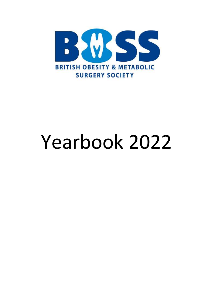

# Yearbook 2022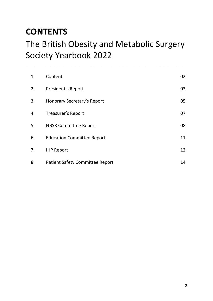# **CONTENTS**

# The British Obesity and Metabolic Surgery Society Yearbook 2022

**\_\_\_\_\_\_\_\_\_\_\_\_\_\_\_\_\_\_\_\_\_\_\_\_\_\_\_\_\_\_\_\_\_\_\_\_\_\_\_\_\_\_\_\_\_\_\_\_\_\_\_\_\_\_\_\_**

| 1. | Contents                               | 02 |
|----|----------------------------------------|----|
| 2. | President's Report                     | 03 |
| 3. | <b>Honorary Secretary's Report</b>     | 05 |
| 4. | Treasurer's Report                     | 07 |
| 5. | <b>NBSR Committee Report</b>           | 08 |
| 6. | <b>Education Committee Report</b>      | 11 |
| 7. | <b>IHP Report</b>                      | 12 |
| 8. | <b>Patient Safety Committee Report</b> | 14 |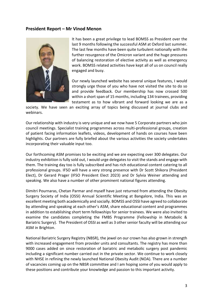# **President Report – Mr Vinod Menon**



It has been a great privilege to lead BOMSS as President over the last 9 months following the successful ASM at Oxford last summer. The last few months have been quite turbulent nationally with the further resurgence of the Omicron variant and the huge pressures of balancing restoration of elective activity as well as emergency work. BOMSS related activities have kept all of us on council really engaged and busy.

Our newly launched website has several unique features, I would strongly urge those of you who have not visited the site to do so and provide feedback. Our membership has now crossed 500 within a short span of 15 months, including 134 trainees, providing testament as to how vibrant and forward looking we are as a

society. We have seen an exciting array of topics being discussed at journal clubs and webinars.

Our relationship with industry is very unique and we now have 5 Corporate partners who join council meetings. Specialist training programmes across multi-professional groups, creation of patient facing information leaflets, videos, development of hands on courses have been highlights. Our partners are fully briefed about the various activities the society undertakes incorporating their valuable input too.

Our forthcoming ASM promises to be exciting and we are expecting over 300 delegates. Our industry exhibition is fully sold out, I would urge delegates to visit the stands and engage with them. The training day too is fully subscribed and has rich educational content catering to all professional groups. IFSO will have a very strong presence with Dr Scott Shikora (President Elect), Dr Gerard Prager (IFSO President Elect 2023) and Dr Sylvia Weiner attending and speaking. We also have a number of other prominent national figures attending.

Dimitri Pournaras, Chetan Parmar and myself have just returned from attending the Obesity Surgery Society of India (OSSI) Annual Scientific Meeting at Bangalore, India. This was an excellent meeting both academically and socially. BOMSS and OSSI have agreed to collaborate by attending and speaking at each other's ASM, share educational content and programmes in addition to establishing short term fellowships for senior trainees. We were also invited to examine the candidates completing the FMBS Programme (Fellowship in Metabolic & Bariatric Surgery). The President of OSSI as well as 3 other senior faculty will be attending our ASM in Brighton.

National Bariatric Surgery Registry (NBSR), the jewel on our crown has also grown in strength with increased engagement from provider units and consultants. The registry has more than 9000 cases added on since restoration of bariatric and metabolic surgery post pandemic including a significant number carried out in the private sector. We continue to work closely with NHSE in refining the newly launched National Obesity Audit (NOA). There are a number of vacancies coming up on the NBSR committee and I am hoping some of you would apply to these positions and contribute your knowledge and passion to this important activity.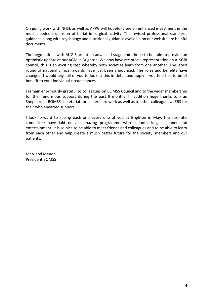On going work with NHSE as well as APPG will hopefully see an enhanced investment in the much needed expansion of bariatric surgical activity. The revised professional standards guidance along with psychology and nutritional guidance available on our website are helpful documents.

The negotiations with AUGIS are at an advanced stage and I hope to be able to provide an optimistic update at our AGM in Brighton. We now have reciprocal representation on ALSGBI council, this is an exciting step whereby both societies learn from one another. The latest round of national clinical awards have just been announced. The rules and benefits have changed, I would urge all of you to look at this in detail and apply if you find this to be of benefit to your individual circumstances.

I remain enormously grateful to colleagues on BOMSS Council and to the wider membership for their enormous support during the past 9 months. In addition huge thanks to Fran Shephard at BOMSS secretariat for all her hard work as well as to other colleagues at EBS for their wholehearted support.

I look forward to seeing each and every one of you at Brighton in May, the scientific committee have laid on an amazing programme with a fantastic gala dinner and entertainment. It is so nice to be able to meet friends and colleagues and to be able to learn from each other and help create a much better future for the society, members and our patients.

Mr Vinod Menon President BOMSS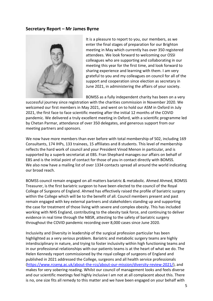# **Secretary Report – Mr James Byrne**



It is a pleasure to report to you, our members, as we enter the final stages of preparation for our Brighton meeting in May which currently has over 350 registered attendees. We look forward to welcoming our OSSI colleagues who are supporting and collaborating in our meeting this year for the first time, and look forward to sharing experience and learning with them. I am very grateful to you and my colleagues on council for all of the support and cooperation since election as secretary in June 2021, in administering the affairs of your society.

BOMSS as a fully independent charity has been on a very

successful journey since registration with the charities commission in November 2020. We welcomed our first members in May 2021, and went on to hold our ASM in Oxford in July 2021, the first face to face scientific meeting after the initial 12 months of the COVID pandemic. We delivered a truly excellent meeting in Oxford, with a scientific programme led by Chetan Parmar, attendance of over 350 delegates, and generous support from our meeting partners and sponsors.

We now have more members than ever before with total membership of 502, including 169 Consultants, 174 IHPs, 133 trainees, 15 affiliates and 8 students. This level of membership reflects the hard work of council and your President Vinod Menon in particular, and is supported by a superb secretariat at EBS. Fran Shephard manages our affairs on behalf of EBS and is the initial point of contact for those of you in contact directly with BOMSS. We also now have a mailing list of over 1334 contacts spread all around the world indicating our broad reach.

BOMSS council remain engaged on all matters bariatric & metabolic. Ahmed Ahmed, BOMSS Treasurer, is the first bariatric surgeon to have been elected to the council of the Royal College of Surgeons of England. Ahmed has effectively raised the profile of bariatric surgery within the College which will be to the benefit of all. Council members present and past remain engaged with key external partners and stakeholders standing up and supporting the case for treatment of those living with severe and complex obesity. This has included working with NHS England, contributing to the obesity task force, and continuing to deliver evidence in real time through the NBSR, attesting to the safety of bariatric surgery throughout the COVID pandemic recording over 8,000 cases since June 2020.

Inclusivity and Diversity in leadership of the surgical profession particular has been highlighted as a very serious problem. Bariatric and metabolic surgery teams are highly interdisciplinary in nature, and trying to foster inclusivity within high functioning teams and in our professional relationships with our patients teams is at the heart of what we do. The Helen Kennedy report commissioned by the royal college of surgeons of England and published in 2021 addressed the College, surgeons and all health service professionals [\(https://www.rcseng.ac.uk/about-the-rcs/about-our-mission/diversity-review-2021/\)](https://www.rcseng.ac.uk/about-the-rcs/about-our-mission/diversity-review-2021/), and makes for very sobering reading. Whilst our council of management looks and feels diverse and our scientific meetings feel highly inclusive I am not at all complacent about this. There is no, one size fits all remedy to this matter and we have been engaged on your behalf with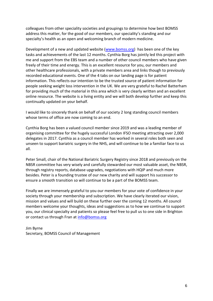colleagues from other speciality societies and groupings to determine how best BOMSS address this matter, for the good of our members, our speciality's standing and our specialty's health as an open and welcoming branch of modern medicine.

Development of a new and updated website [\(www.bomss.org\)](http://www.bomss.org/) has been one of the key tasks and achievements of the last 12 months. Cynthia Borg has jointly led this project with me and support from the EBS team and a number of other council members who have given freely of their time and energy. This is an excellent resource for you, our members and other healthcare professionals, with a private members area and links though to previously recorded educational events. One of the 4 tabs on our landing page is for patient information. This reflects our intention to be the trusted source of patient information for people seeking weight loss intervention in the UK. We are very grateful to Rachel Batterham for providing much of the material in this area which is very clearly written and an excellent online resource. The website is a living entity and we will both develop further and keep this continually updated on your behalf.

I would like to sincerely thank on behalf of our society 2 long standing council members whose terms of office are now coming to an end.

Cynthia Borg has been a valued council member since 2019 and was a leading member of organising committee for the hugely successful London IFSO meeting attracting over 2,000 delegates in 2017. Cynthia as a council member has worked in several roles both seen and unseen to support bariatric surgery in the NHS, and will continue to be a familiar face to us all.

Peter Small, chair of the National Bariatric Surgery Registry since 2018 and previously on the NBSR committee has very wisely and carefully stewarded our most valuable asset, the NBSR, through registry reports, database upgrades, negotiations with HQIP and much more besides. Peter is a founding trustee of our new charity and will support his successor to ensure a smooth transition so will continue to be a part of the BOMSS team.

Finally we are immensely grateful to you our members for your vote of confidence in your society through your membership and subscription. We have clearly iterated our vision, mission and values and will build on these further over the coming 12 months. All council members welcome your thoughts, ideas and suggestions as to how we continue to support you, our clinical specialty and patients so please feel free to pull us to one side in Brighton or contact us through Fran at [info@bomss.org](mailto:info@bomss.org)

Jim Byrne Secretary, BOMSS Council of Management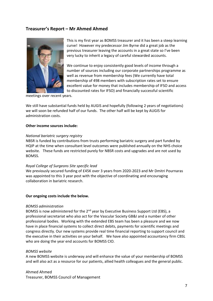# **Treasurer's Report – Mr Ahmed Ahmed**



This is my first year as BOMSS treasurer and it has been a steep learning curve! However my predecessor Jim Byrne did a great job as the previous treasurer leaving the accounts in a great state so I've been very lucky to inherit a legacy of careful stewarded accounts.

We continue to enjoy consistently good levels of income through a number of sources including our corporate partnerships programme as well as revenue from membership fees (We currently have total membership of 498 members with subscription rates set to ensure excellent value for money that includes membership of IFSO and access to discounted rates for IFSO) and financially successful scientific

meetings over recent years.

We still have substantial funds held by AUGIS and hopefully (following 2 years of negotiations) we will soon be refunded half of our funds. The other half will be kept by AUGIS for administration costs.

#### **Other income sources include:**

#### *National bariatric surgery registry*

NBSR is funded by contributions from trusts performing bariatric surgery and part funded by HQIP at the time when consultant level outcomes were published annually on the NHS choice website. These funds are restricted purely for NBSR costs and upgrades and are not used by BOMSS.

#### *Royal College of Surgeons Site specific lead*

We previously secured funding of £45K over 3 years from 2020-2023 and Mr Dmitri Pournaras was appointed to this 3 year post with the objective of coordinating and encouraging collaboration in bariatric research.

#### **Our ongoing costs include the below.**

#### *BOMSS administration*

BOMSS is now administered for the 2<sup>nd</sup> year by Executive Business Support Ltd (EBS), a professional secretariat who also act for the Vascular Society GB&I and a number of other professional bodies. Working with the extended EBS team has been a pleasure and we now have in place financial systems to collect direct debits, payments for scientific meetings and congress directly. Our new systems provide real time financial reporting to support council and the executive in their activities on your behalf. We have also appointed accountancy firm CBSL who are doing the year end accounts for BOMSS CIO.

#### *BOMSS website*

A new BOMSS website is underway and will enhance the value of your membership of BOMSS and will also act as a resource for our patients, allied health colleagues and the general public.

Ahmed Ahmed Treasurer, BOMSS Council of Management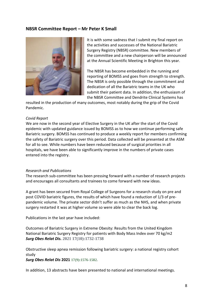# **NBSR Committee Report – Mr Peter K Small**



It is with some sadness that I submit my final report on the activities and successes of the National Bariatric Surgery Registry (NBSR) committee. New members of the committee and a new chairperson will be announced at the Annual Scientific Meeting in Brighton this year.

The NBSR has become embedded in the running and reporting of BOMSS and goes from strength to strength. The NBSR is only possible through the commitment and dedication of all the Bariatric teams in the UK who submit their patient data. In addition, the enthusiasm of the NBSR Committee and Dendrite Clinical Systems has

resulted in the production of many outcomes, most notably during the grip of the Covid Pandemic.

## *Covid Report*

We are now in the second year of Elective Surgery in the UK after the start of the Covid epidemic with updated guidance issued by BOMSS as to how we continue performing safe Bariatric surgery. BOMSS has continued to produce a weekly report for members confirming the safety of Bariatric surgery over this period. Data collected will be presented at the ASM for all to see. While numbers have been reduced because of surgical priorities in all hospitals, we have been able to significantly improve in the numbers of private cases entered into the registry.

#### *Research and Publications*

The research sub-committee has been pressing forward with a number of research projects and encourages all consultants and trainees to come forward with new ideas.

A grant has been secured from Royal College of Surgeons for a research study on pre and post COVID bariatric figures, the results of which have found a reduction of 1/3 of prepandemic volume. The private sector didn't suffer as much as the NHS, and when private surgery restarted it was at higher volume so were able to clear the back log.

Publications in the last year have included:

Outcomes of Bariatric Surgery in Extreme Obesity: Results from the United Kingdom National Bariatric Surgery Registry for patients with Body Mass Index over 70 kg/m2 *Surg Obes Relat Dis.* **2021 17(10):1732-1738**

Obstructive sleep apnea remission following bariatric surgery: a national registry cohort study

*Surg Obes Relat Dis* **2021 17(9):1576-1582.**

In addition, 13 abstracts have been presented to national and international meetings.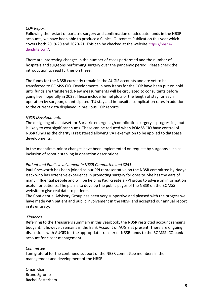# *COP Report*

Following the restart of bariatric surgery and confirmation of adequate funds in the NBSR accounts, we have been able to produce a Clinical Outcomes Publication this year which covers both 2019-20 and 2020-21. This can be checked at the website [https://nbsr.e](https://nbsr.e-dendrite.com/)[dendrite.com/](https://nbsr.e-dendrite.com/).

There are interesting changes in the number of cases performed and the number of hospitals and surgeons performing surgery over the pandemic period. Please check the introduction to read further on these.

The funds for the NBSR currently remain in the AUGIS accounts and are yet to be transferred to BOMSS CIO. Developments in new items for the COP have been put on hold until funds are transferred. New measurements will be circulated to consultants before going live, hopefully in 2023. These include funnel plots of the length of stay for each operation by surgeon, unanticipated ITU stay and in-hospital complication rates in addition to the current data displayed in previous COP reports.

# *NBSR Developments*

The designing of a dataset for Bariatric emergency/complication surgery is progressing, but is likely to cost significant sums. These can be reduced when BOMSS CIO have control of NBSR funds as the charity is registered allowing VAT exemption to be applied to database developments.

In the meantime, minor changes have been implemented on request by surgeons such as inclusion of robotic stapling in operation descriptions.

# *Patient and Public involvement in NBSR Committee and S251*

Paul Chesworth has been joined as our PPI representative on the NBSR committee by Nadya Isack who has extensive experience in promoting surgery for obesity. She has the ears of many influential people and will be helping Paul create a PPI group to advise on information useful for patients. The plan is to develop the public pages of the NBSR on the BOMSS website to give real data to patients.

The Confidential Advisory Group has been very supportive and pleased with the progess we have made with patient and public involvement in the NBSR and accepted our annual report in its entirety.

# *Finances*

Referring to the Treasurers summary in this yearbook, the NBSR restricted account remains buoyant. It however, remains in the Bank Account of AUGIS at present. There are ongoing discussions with AUGIS for the appropriate transfer of NBSR funds to the BOMSS ICO bank account for closer management.

# *Committee*

I am grateful for the continued support of the NBSR committee members in the management and development of the NBSR.

Omar Khan Bruno Sgromo Rachel Batterham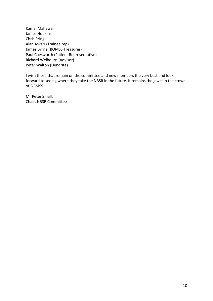Kamal Mahawar James Hopkins Chris Pring Alan Askari (Trainee rep) James Byrne (BOMSS Treasurer) Paul Chesworth (Patient Representative) Richard Welbourn (Advisor) Peter Walton (Dendrite)

I wish those that remain on the committee and new members the very best and look forward to seeing where they take the NBSR in the future. It remains the jewel in the crown of BOMSS.

Mr Peter Small, Chair, NBSR Committee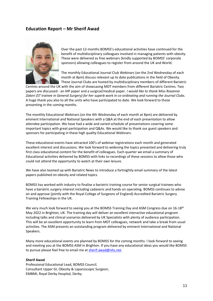# **Education Report – Mr Sherif Awad**



Over the past 12-months BOMSS's educational activities have continued for the benefit of multidisciplinary colleagues involved in managing patients with obesity. These were delivered as free webinars (kindly supported by BOMSS' corporate sponsors) allowing colleagues to register from around the UK and World.

The monthly Educational Journal Club Webinars (on the 2nd Wednesday of each month at 8pm) discuss relevant up to date publications in the field of Obesity. These Journal Clubs are hosted by multidisciplinary members of different Bariatric

Centres around the UK with the aim of showcasing MDT members from different Bariatric Centres. Two papers are discussed - an IHP paper and a surgical/medical paper. *I would like to thank Miss Roxanna Zakeri (ST trainee in General Surgery) for her superb work in co-ordinating and running the Journal Clubs.* A huge thank you also to all the units who have participated to date. We look forward to those presenting in the coming months.

The monthly Educational Webinars (on the 4th Wednesday of each month at 8pm) are delivered by eminent International and National Speakers with a Q&A at the end of each presentation to allow attendee participation. We have had a wide and varied schedule of presentations covering some important topics with great participation and Q&As. We would like to thank our guest speakers and sponsors for participating in these high quality Educational Webinars.

These educational events have attracted 100's of webinar registrations each month and generated excellent interest and discussions. We look forward to widening the topics presented and delivering truly first class educational content for the benefit of colleagues. Each quarter we email a summary of Educational activities delivered by BOMSS with links to recordings of these sessions to allow those who could not attend the opportunity to watch at their own leisure.

We have also teamed up with Bariatric News to introduce a fortnightly email summary of the latest papers published on obesity and related topics.

BOMSS has worked with industry to finalise a bariatric training course for senior surgical trainees who have a bariatric surgery interest including cadaveric and hands on operating. BOMSS continues to advise on and approve (jointly with the Royal College of Surgeons of England) Accredited Bariatric Surgery Training Fellowships in the UK.

We very much look forward to seeing you at the BOMSS Training Day and ASM Congress due on 16-18<sup>th</sup> May 2022 in Brighton, UK. The training day will deliver an excellent interactive educational program including talks and clinical scenarios delivered by UK Specialists with plenty of audience participation. This will be an excellent opportunity to learn from MDT colleagues, network and take a break from usual activities. The ASM presents an outstanding program delivered by eminent International and National Speakers.

Many more educational events are planned by BOMSS for the coming months. I look forward to seeing and meeting you at the BOMSS ASM in Brighton. If you have any educational ideas you would like BOMSS to pursue please feel free to email me a[t sherif.awad@nhs.net.](mailto:sherif.awad@nhs.net)

### **Sherif Awad**

Professional Educational Lead, BOMSS Council. Consultant Upper GI, Obesity & Laparoscopic Surgeon, EMBMI, Royal Derby Hospital, Derby.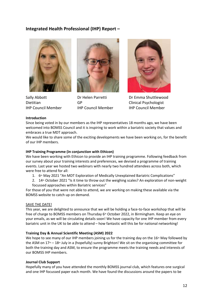# **Integrated Health Professional (IHP) Report –**





Dietitian GP Clinical Psychologist IHP Council Member IHP Council Member IHP Council Member



Sally Abbott Dr Helen Parretti Dr Emma Shuttlewood

#### **Introduction**

Since being voted in by our members as the IHP representatives 18 months ago, we have been welcomed into BOMSS Council and it is inspiring to work within a bariatric society that values and embraces a true MDT approach.

We would like to share some of the exciting developments we have been working on, for the benefit of our IHP members.

#### **IHP Training Programme (in conjunction with Ethicon)**

We have been working with Ethicon to provide an IHP training programme. Following feedback from our survey about your training interests and preferences, we devised a programme of training events. Last year we hosted two webinars with nearly two hundred attendees across both, which were free to attend for all:

- 1. 6<sup>th</sup> May 2021 "An MDT Exploration of Medically Unexplained Bariatric Complications"
- 2. 14<sup>th</sup> October 2021 "Is it time to throw out the weighing scales? An exploration of non-weight focussed approaches within Bariatric services"

For those of you that were not able to attend, we are working on making these available via the BOMSS website to catch up on demand.

#### SAVE THE DATE!

This year, we are delighted to announce that we will be holding a face-to-face workshop that will be free of charge to BOMSS members on Thursday 6<sup>th</sup> October 2022, in Birmingham. Keep an eye on your emails, as we will be circulating details soon! We have capacity for one IHP member from every bariatric unit in the UK to be able to attend – how fantastic will this be for national networking!

#### **Training Day & Annual Scientific Meeting (ASM) 2022**

We hope to see many of our IHP members joining us for the training day on the  $16<sup>th</sup>$  May followed by the ASM on  $17<sup>th</sup> - 18<sup>th</sup>$  July in a (hopefully) sunny Brighton! We sit on the organising committee for both the training day and ASM, to ensure the programme meets the training needs and interests of our BOMSS IHP members.

#### **Journal Club Support**

Hopefully many of you have attended the monthly BOMSS journal club, which features one surgical and one IHP focussed paper each month. We have found the discussions around the papers to be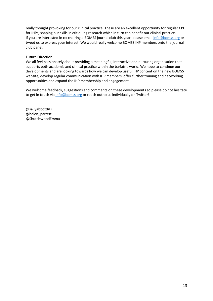really thought provoking for our clinical practice. These are an excellent opportunity for regular CPD for IHPs, shaping our skills in critiquing research which in turn can benefit our clinical practice. If you are interested in co-chairing a BOMSS journal club this year, please email [info@bomss.org](mailto:info@bomss.org) or tweet us to express your interest. We would really welcome BOMSS IHP members onto the journal club panel.

## **Future Direction**

We all feel passionately about providing a meaningful, interactive and nurturing organisation that supports both academic and clinical practice within the bariatric world. We hope to continue our developments and are looking towards how we can develop useful IHP content on the new BOMSS website, develop regular communication with IHP members, offer further training and networking opportunities and expand the IHP membership and engagement.

We welcome feedback, suggestions and comments on these developments so please do not hesitate to get in touch via [info@bomss.org](mailto:info@bomss.org) or reach out to us individually on Twitter!

@sallyabbottRD @helen\_parretti @ShuttlewoodEmma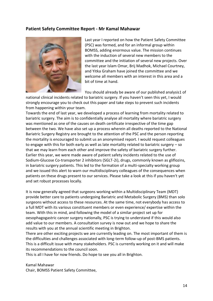# **Patient Safety Committee Report - Mr Kamal Mahawar**



Last year I reported on how the Patient Safety Committee (PSC) was formed, and for an informal group within BOMSS, adding enormous value. The mission continues with the induction of several new members to the committee and the initiation of several new projects. Over the last year Islam Omar, Brij Madhok, Michael Courtney, and Yitka Graham have joined the committee and we welcome all members with an interest in this area and a bit of time at hand.

You should already be aware of our published analysis1 of

national clinical incidents related to bariatric surgery. If you haven't seen this yet, I would strongly encourage you to check out this paper and take steps to prevent such incidents from happening within your team.

Towards the end of last year, we developed a process of learning from mortality related to bariatric surgery. The aim is to confidentially analyse all mortality where bariatric surgery was mentioned as one of the causes on death certificate irrespective of the time gap between the two. We have also set up a process wherein all deaths reported to the National Bariatric Surgery Registry are brought to the attention of the PSC and the person reporting the mortality is encouraged to submit us an anonymised report. I would request colleagues to engage with this for both early as well as late mortality related to bariatric surgery – so that we may learn from each other and improve the safety of bariatric surgery further. Earlier this year, we were made aware of patient safety incidents related to the use of Sodium-Glucose Co-transporter 2 inhibitors (SGLT-2i), drugs, commonly known as gliflozins, in bariatric surgery patients. This led to the formation of a multi-specialty working group and we issued [this alert](https://bomss.org/healthcare-professionals/clinical-resources/) to warn our multidisciplinary colleagues of the consequences when patients on these drugs present to our services. Please take a look at this if you haven't yet and set robust processes locally.

It is now generally agreed that surgeons working within a Multidisciplinary Team (MDT) provide better care to patients undergoing Bariatric and Metabolic Surgery (BMS) than solo surgeons without access to these resources. At the same time, not everybody has access to a full MDT with its various constituent members or even experience/ expertise within the team. With this in mind, and following the model of a similar project set up for oesophagogastric cancer surgery nationally, PSC is trying to understand if this would also add value to our members. A consultation survey is now out and we hope to share the results with you at the annual scientific meeting in Brighton.

There are other exciting projects we are currently leading on. The most important of them is the difficulties and challenges associated with long-term follow-up of post-BMS patients. This is a difficult issue with many stakeholders. PSC is currently working on it and will make its recommendations to the council soon.

This is all I have for now friends. Do hope to see you all in Brighton.

Kamal Mahawar Chair, BOMSS Patient Safety Committee,